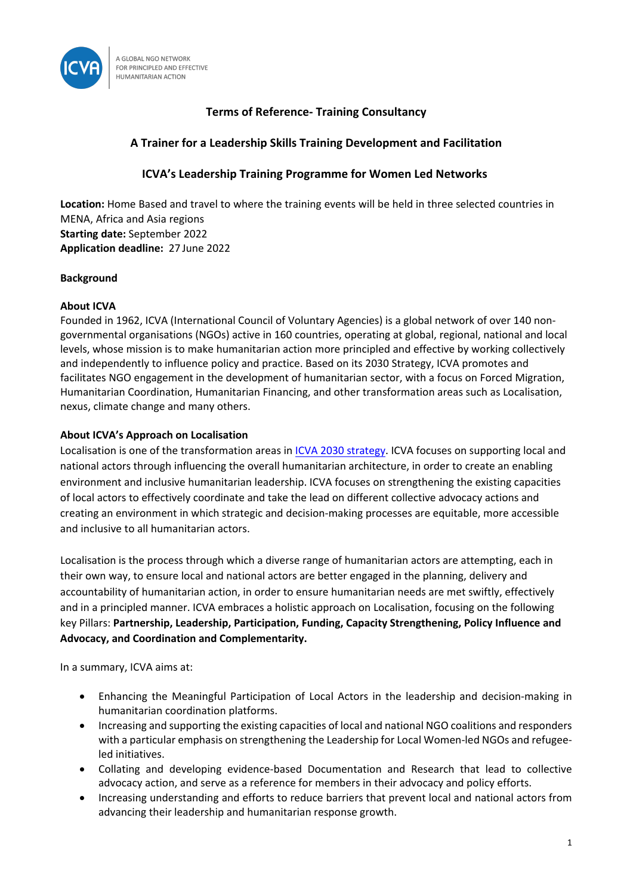

# **Terms of Reference- Training Consultancy**

# **A Trainer for a Leadership Skills Training Development and Facilitation**

## **ICVA's Leadership Training Programme for Women Led Networks**

**Location:** Home Based and travel to where the training events will be held in three selected countries in MENA, Africa and Asia regions **Starting date:** September 2022 **Application deadline:** 27 June 2022

## **Background**

## **About ICVA**

Founded in 1962, ICVA (International Council of Voluntary Agencies) is a global network of over 140 nongovernmental organisations (NGOs) active in 160 countries, operating at global, regional, national and local levels, whose mission is to make humanitarian action more principled and effective by working collectively and independently to influence policy and practice. Based on its 2030 Strategy, ICVA promotes and facilitates NGO engagement in the development of humanitarian sector, with a focus on Forced Migration, Humanitarian Coordination, Humanitarian Financing, and other transformation areas such as Localisation, nexus, climate change and many others.

## **About ICVA's Approach on Localisation**

Localisation is one of the transformation areas in ICVA [2030 strategy.](https://www.icvanetwork.org/resource/icva-2030-strategy/) ICVA focuses on supporting local and national actors through influencing the overall humanitarian architecture, in order to create an enabling environment and inclusive humanitarian leadership. ICVA focuses on strengthening the existing capacities of local actors to effectively coordinate and take the lead on different collective advocacy actions and creating an environment in which strategic and decision-making processes are equitable, more accessible and inclusive to all humanitarian actors.

Localisation is the process through which a diverse range of humanitarian actors are attempting, each in their own way, to ensure local and national actors are better engaged in the planning, delivery and accountability of humanitarian action, in order to ensure humanitarian needs are met swiftly, effectively and in a principled manner. ICVA embraces a holistic approach on Localisation, focusing on the following key Pillars: **Partnership, Leadership, Participation, Funding, Capacity Strengthening, Policy Influence and Advocacy, and Coordination and Complementarity.** 

In a summary, ICVA aims at:

- Enhancing the Meaningful Participation of Local Actors in the leadership and decision-making in humanitarian coordination platforms.
- Increasing and supporting the existing capacities of local and national NGO coalitions and responders with a particular emphasis on strengthening the Leadership for Local Women-led NGOs and refugeeled initiatives.
- Collating and developing evidence-based Documentation and Research that lead to collective advocacy action, and serve as a reference for members in their advocacy and policy efforts.
- Increasing understanding and efforts to reduce barriers that prevent local and national actors from advancing their leadership and humanitarian response growth.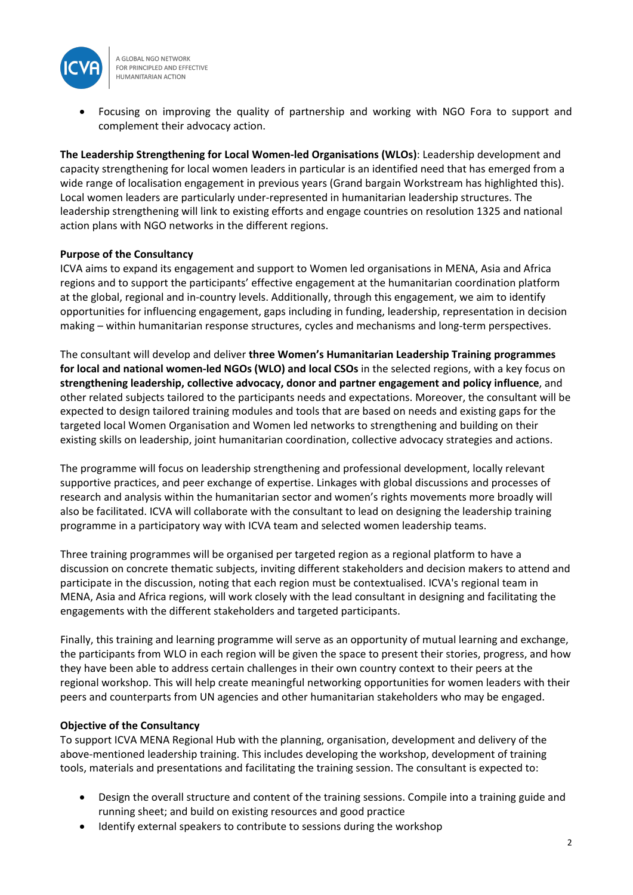

A GLOBAL NGO NETWORK FOR PRINCIPLED AND EFFECTIVE HUMANITARIAN ACTION

• Focusing on improving the quality of partnership and working with NGO Fora to support and complement their advocacy action.

**The Leadership Strengthening for Local Women-led Organisations (WLOs)**: Leadership development and capacity strengthening for local women leaders in particular is an identified need that has emerged from a wide range of localisation engagement in previous years (Grand bargain Workstream has highlighted this). Local women leaders are particularly under-represented in humanitarian leadership structures. The leadership strengthening will link to existing efforts and engage countries on resolution 1325 and national action plans with NGO networks in the different regions.

## **Purpose of the Consultancy**

ICVA aims to expand its engagement and support to Women led organisations in MENA, Asia and Africa regions and to support the participants' effective engagement at the humanitarian coordination platform at the global, regional and in-country levels. Additionally, through this engagement, we aim to identify opportunities for influencing engagement, gaps including in funding, leadership, representation in decision making – within humanitarian response structures, cycles and mechanisms and long-term perspectives.

The consultant will develop and deliver **three Women's Humanitarian Leadership Training programmes for local and national women-led NGOs (WLO) and local CSOs** in the selected regions, with a key focus on **strengthening leadership, collective advocacy, donor and partner engagement and policy influence**, and other related subjects tailored to the participants needs and expectations. Moreover, the consultant will be expected to design tailored training modules and tools that are based on needs and existing gaps for the targeted local Women Organisation and Women led networks to strengthening and building on their existing skills on leadership, joint humanitarian coordination, collective advocacy strategies and actions.

The programme will focus on leadership strengthening and professional development, locally relevant supportive practices, and peer exchange of expertise. Linkages with global discussions and processes of research and analysis within the humanitarian sector and women's rights movements more broadly will also be facilitated. ICVA will collaborate with the consultant to lead on designing the leadership training programme in a participatory way with ICVA team and selected women leadership teams.

Three training programmes will be organised per targeted region as a regional platform to have a discussion on concrete thematic subjects, inviting different stakeholders and decision makers to attend and participate in the discussion, noting that each region must be contextualised. ICVA's regional team in MENA, Asia and Africa regions, will work closely with the lead consultant in designing and facilitating the engagements with the different stakeholders and targeted participants.

Finally, this training and learning programme will serve as an opportunity of mutual learning and exchange, the participants from WLO in each region will be given the space to present their stories, progress, and how they have been able to address certain challenges in their own country context to their peers at the regional workshop. This will help create meaningful networking opportunities for women leaders with their peers and counterparts from UN agencies and other humanitarian stakeholders who may be engaged.

#### **Objective of the Consultancy**

To support ICVA MENA Regional Hub with the planning, organisation, development and delivery of the above-mentioned leadership training. This includes developing the workshop, development of training tools, materials and presentations and facilitating the training session. The consultant is expected to:

- Design the overall structure and content of the training sessions. Compile into a training guide and running sheet; and build on existing resources and good practice
- Identify external speakers to contribute to sessions during the workshop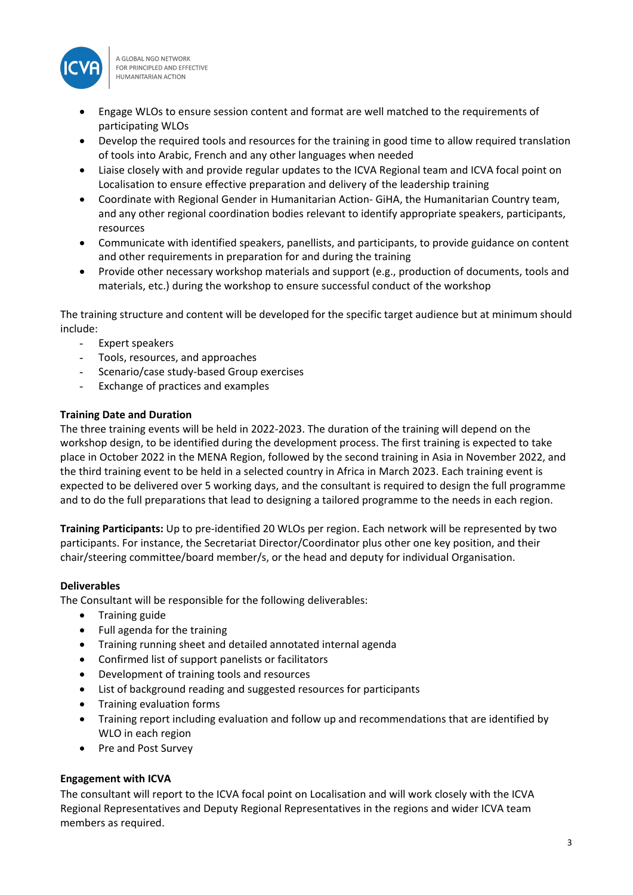

A GLOBAL NGO NETWORK FOR PRINCIPLED AND EFFECTIVE **HUMANITARIAN ACTION** 

- Engage WLOs to ensure session content and format are well matched to the requirements of participating WLOs
- Develop the required tools and resources for the training in good time to allow required translation of tools into Arabic, French and any other languages when needed
- Liaise closely with and provide regular updates to the ICVA Regional team and ICVA focal point on Localisation to ensure effective preparation and delivery of the leadership training
- Coordinate with Regional Gender in Humanitarian Action- GiHA, the Humanitarian Country team, and any other regional coordination bodies relevant to identify appropriate speakers, participants, resources
- Communicate with identified speakers, panellists, and participants, to provide guidance on content and other requirements in preparation for and during the training
- Provide other necessary workshop materials and support (e.g., production of documents, tools and materials, etc.) during the workshop to ensure successful conduct of the workshop

The training structure and content will be developed for the specific target audience but at minimum should include:

- Expert speakers
- Tools, resources, and approaches
- Scenario/case study-based Group exercises
- Exchange of practices and examples

#### **Training Date and Duration**

The three training events will be held in 2022-2023. The duration of the training will depend on the workshop design, to be identified during the development process. The first training is expected to take place in October 2022 in the MENA Region, followed by the second training in Asia in November 2022, and the third training event to be held in a selected country in Africa in March 2023. Each training event is expected to be delivered over 5 working days, and the consultant is required to design the full programme and to do the full preparations that lead to designing a tailored programme to the needs in each region.

**Training Participants:** Up to pre-identified 20 WLOs per region. Each network will be represented by two participants. For instance, the Secretariat Director/Coordinator plus other one key position, and their chair/steering committee/board member/s, or the head and deputy for individual Organisation.

#### **Deliverables**

The Consultant will be responsible for the following deliverables:

- Training guide
- Full agenda for the training
- Training running sheet and detailed annotated internal agenda
- Confirmed list of support panelists or facilitators
- Development of training tools and resources
- List of background reading and suggested resources for participants
- Training evaluation forms
- Training report including evaluation and follow up and recommendations that are identified by WLO in each region
- Pre and Post Survey

#### **Engagement with ICVA**

The consultant will report to the ICVA focal point on Localisation and will work closely with the ICVA Regional Representatives and Deputy Regional Representatives in the regions and wider ICVA team members as required.